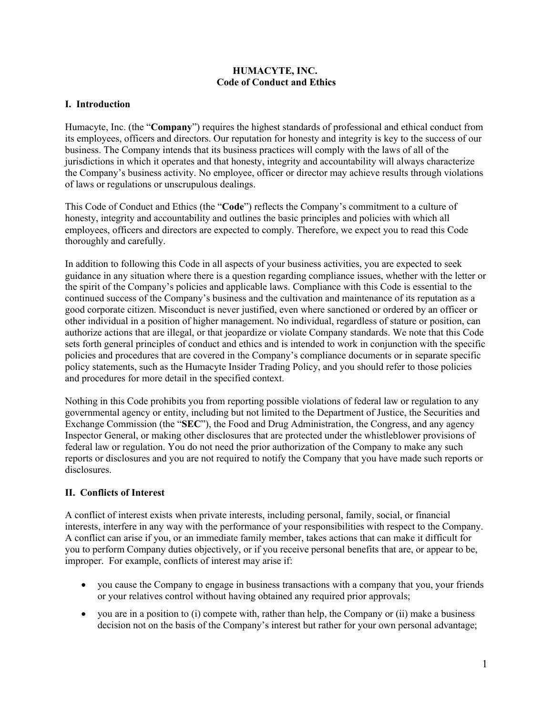#### **HUMACYTE, INC. Code of Conduct and Ethics**

### **I. Introduction**

Humacyte, Inc. (the "**Company**") requires the highest standards of professional and ethical conduct from its employees, officers and directors. Our reputation for honesty and integrity is key to the success of our business. The Company intends that its business practices will comply with the laws of all of the jurisdictions in which it operates and that honesty, integrity and accountability will always characterize the Company's business activity. No employee, officer or director may achieve results through violations of laws or regulations or unscrupulous dealings.

This Code of Conduct and Ethics (the "**Code**") reflects the Company's commitment to a culture of honesty, integrity and accountability and outlines the basic principles and policies with which all employees, officers and directors are expected to comply. Therefore, we expect you to read this Code thoroughly and carefully.

In addition to following this Code in all aspects of your business activities, you are expected to seek guidance in any situation where there is a question regarding compliance issues, whether with the letter or the spirit of the Company's policies and applicable laws. Compliance with this Code is essential to the continued success of the Company's business and the cultivation and maintenance of its reputation as a good corporate citizen. Misconduct is never justified, even where sanctioned or ordered by an officer or other individual in a position of higher management. No individual, regardless of stature or position, can authorize actions that are illegal, or that jeopardize or violate Company standards. We note that this Code sets forth general principles of conduct and ethics and is intended to work in conjunction with the specific policies and procedures that are covered in the Company's compliance documents or in separate specific policy statements, such as the Humacyte Insider Trading Policy, and you should refer to those policies and procedures for more detail in the specified context.

Nothing in this Code prohibits you from reporting possible violations of federal law or regulation to any governmental agency or entity, including but not limited to the Department of Justice, the Securities and Exchange Commission (the "**SEC**"), the Food and Drug Administration, the Congress, and any agency Inspector General, or making other disclosures that are protected under the whistleblower provisions of federal law or regulation. You do not need the prior authorization of the Company to make any such reports or disclosures and you are not required to notify the Company that you have made such reports or disclosures.

## **II. Conflicts of Interest**

A conflict of interest exists when private interests, including personal, family, social, or financial interests, interfere in any way with the performance of your responsibilities with respect to the Company. A conflict can arise if you, or an immediate family member, takes actions that can make it difficult for you to perform Company duties objectively, or if you receive personal benefits that are, or appear to be, improper. For example, conflicts of interest may arise if:

- you cause the Company to engage in business transactions with a company that you, your friends or your relatives control without having obtained any required prior approvals;
- you are in a position to (i) compete with, rather than help, the Company or (ii) make a business decision not on the basis of the Company's interest but rather for your own personal advantage;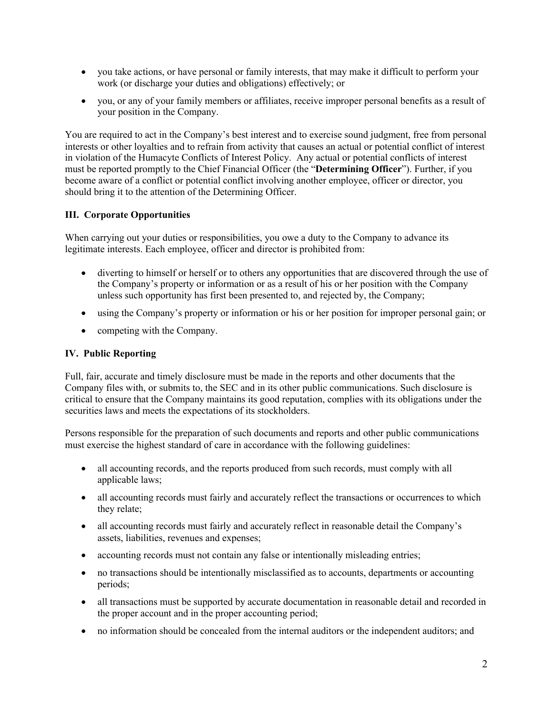- you take actions, or have personal or family interests, that may make it difficult to perform your work (or discharge your duties and obligations) effectively; or
- you, or any of your family members or affiliates, receive improper personal benefits as a result of your position in the Company.

You are required to act in the Company's best interest and to exercise sound judgment, free from personal interests or other loyalties and to refrain from activity that causes an actual or potential conflict of interest in violation of the Humacyte Conflicts of Interest Policy. Any actual or potential conflicts of interest must be reported promptly to the Chief Financial Officer (the "**Determining Officer**"). Further, if you become aware of a conflict or potential conflict involving another employee, officer or director, you should bring it to the attention of the Determining Officer.

### **III. Corporate Opportunities**

When carrying out your duties or responsibilities, you owe a duty to the Company to advance its legitimate interests. Each employee, officer and director is prohibited from:

- diverting to himself or herself or to others any opportunities that are discovered through the use of the Company's property or information or as a result of his or her position with the Company unless such opportunity has first been presented to, and rejected by, the Company;
- using the Company's property or information or his or her position for improper personal gain; or
- competing with the Company.

### **IV. Public Reporting**

Full, fair, accurate and timely disclosure must be made in the reports and other documents that the Company files with, or submits to, the SEC and in its other public communications. Such disclosure is critical to ensure that the Company maintains its good reputation, complies with its obligations under the securities laws and meets the expectations of its stockholders.

Persons responsible for the preparation of such documents and reports and other public communications must exercise the highest standard of care in accordance with the following guidelines:

- all accounting records, and the reports produced from such records, must comply with all applicable laws;
- all accounting records must fairly and accurately reflect the transactions or occurrences to which they relate;
- all accounting records must fairly and accurately reflect in reasonable detail the Company's assets, liabilities, revenues and expenses;
- accounting records must not contain any false or intentionally misleading entries;
- no transactions should be intentionally misclassified as to accounts, departments or accounting periods;
- all transactions must be supported by accurate documentation in reasonable detail and recorded in the proper account and in the proper accounting period;
- no information should be concealed from the internal auditors or the independent auditors; and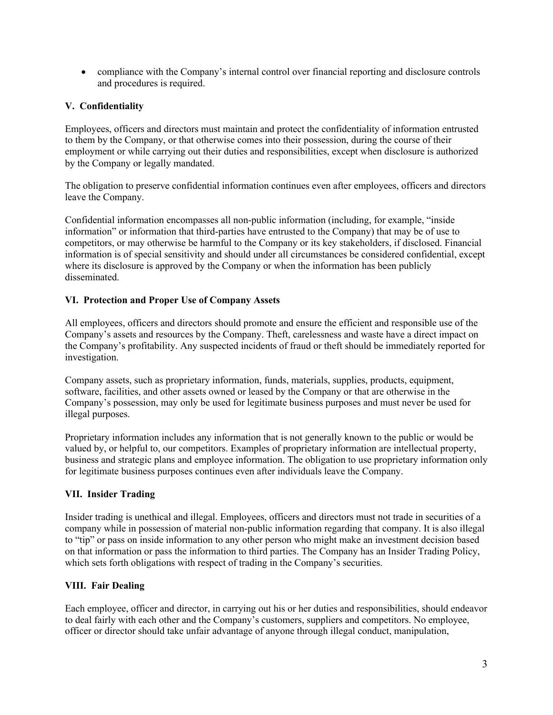• compliance with the Company's internal control over financial reporting and disclosure controls and procedures is required.

## **V. Confidentiality**

Employees, officers and directors must maintain and protect the confidentiality of information entrusted to them by the Company, or that otherwise comes into their possession, during the course of their employment or while carrying out their duties and responsibilities, except when disclosure is authorized by the Company or legally mandated.

The obligation to preserve confidential information continues even after employees, officers and directors leave the Company.

Confidential information encompasses all non-public information (including, for example, "inside information" or information that third-parties have entrusted to the Company) that may be of use to competitors, or may otherwise be harmful to the Company or its key stakeholders, if disclosed. Financial information is of special sensitivity and should under all circumstances be considered confidential, except where its disclosure is approved by the Company or when the information has been publicly disseminated.

## **VI. Protection and Proper Use of Company Assets**

All employees, officers and directors should promote and ensure the efficient and responsible use of the Company's assets and resources by the Company. Theft, carelessness and waste have a direct impact on the Company's profitability. Any suspected incidents of fraud or theft should be immediately reported for investigation.

Company assets, such as proprietary information, funds, materials, supplies, products, equipment, software, facilities, and other assets owned or leased by the Company or that are otherwise in the Company's possession, may only be used for legitimate business purposes and must never be used for illegal purposes.

Proprietary information includes any information that is not generally known to the public or would be valued by, or helpful to, our competitors. Examples of proprietary information are intellectual property, business and strategic plans and employee information. The obligation to use proprietary information only for legitimate business purposes continues even after individuals leave the Company.

## **VII. Insider Trading**

Insider trading is unethical and illegal. Employees, officers and directors must not trade in securities of a company while in possession of material non-public information regarding that company. It is also illegal to "tip" or pass on inside information to any other person who might make an investment decision based on that information or pass the information to third parties. The Company has an Insider Trading Policy, which sets forth obligations with respect of trading in the Company's securities.

## **VIII. Fair Dealing**

Each employee, officer and director, in carrying out his or her duties and responsibilities, should endeavor to deal fairly with each other and the Company's customers, suppliers and competitors. No employee, officer or director should take unfair advantage of anyone through illegal conduct, manipulation,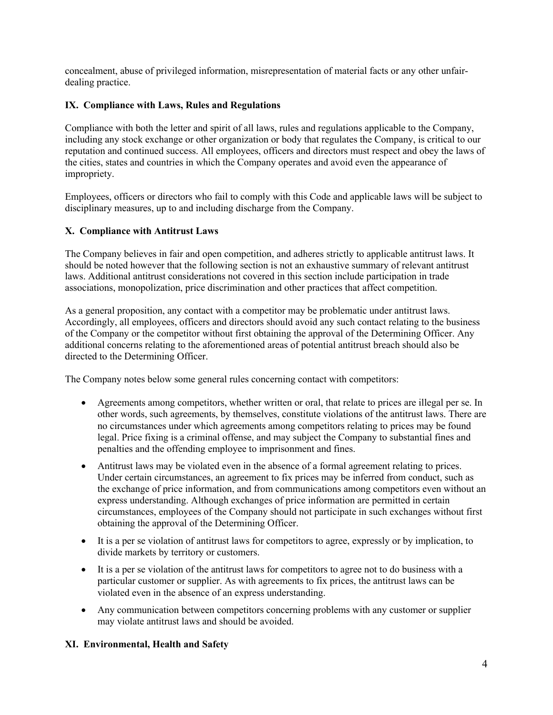concealment, abuse of privileged information, misrepresentation of material facts or any other unfairdealing practice.

### **IX. Compliance with Laws, Rules and Regulations**

Compliance with both the letter and spirit of all laws, rules and regulations applicable to the Company, including any stock exchange or other organization or body that regulates the Company, is critical to our reputation and continued success. All employees, officers and directors must respect and obey the laws of the cities, states and countries in which the Company operates and avoid even the appearance of impropriety.

Employees, officers or directors who fail to comply with this Code and applicable laws will be subject to disciplinary measures, up to and including discharge from the Company.

### **X. Compliance with Antitrust Laws**

The Company believes in fair and open competition, and adheres strictly to applicable antitrust laws. It should be noted however that the following section is not an exhaustive summary of relevant antitrust laws. Additional antitrust considerations not covered in this section include participation in trade associations, monopolization, price discrimination and other practices that affect competition.

As a general proposition, any contact with a competitor may be problematic under antitrust laws. Accordingly, all employees, officers and directors should avoid any such contact relating to the business of the Company or the competitor without first obtaining the approval of the Determining Officer. Any additional concerns relating to the aforementioned areas of potential antitrust breach should also be directed to the Determining Officer.

The Company notes below some general rules concerning contact with competitors:

- Agreements among competitors, whether written or oral, that relate to prices are illegal per se. In other words, such agreements, by themselves, constitute violations of the antitrust laws. There are no circumstances under which agreements among competitors relating to prices may be found legal. Price fixing is a criminal offense, and may subject the Company to substantial fines and penalties and the offending employee to imprisonment and fines.
- Antitrust laws may be violated even in the absence of a formal agreement relating to prices. Under certain circumstances, an agreement to fix prices may be inferred from conduct, such as the exchange of price information, and from communications among competitors even without an express understanding. Although exchanges of price information are permitted in certain circumstances, employees of the Company should not participate in such exchanges without first obtaining the approval of the Determining Officer.
- It is a per se violation of antitrust laws for competitors to agree, expressly or by implication, to divide markets by territory or customers.
- It is a per se violation of the antitrust laws for competitors to agree not to do business with a particular customer or supplier. As with agreements to fix prices, the antitrust laws can be violated even in the absence of an express understanding.
- Any communication between competitors concerning problems with any customer or supplier may violate antitrust laws and should be avoided.

#### **XI. Environmental, Health and Safety**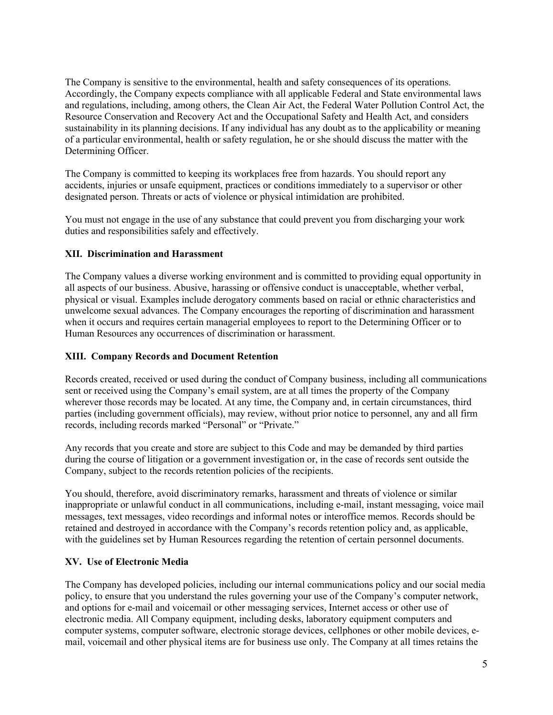The Company is sensitive to the environmental, health and safety consequences of its operations. Accordingly, the Company expects compliance with all applicable Federal and State environmental laws and regulations, including, among others, the Clean Air Act, the Federal Water Pollution Control Act, the Resource Conservation and Recovery Act and the Occupational Safety and Health Act, and considers sustainability in its planning decisions. If any individual has any doubt as to the applicability or meaning of a particular environmental, health or safety regulation, he or she should discuss the matter with the Determining Officer.

The Company is committed to keeping its workplaces free from hazards. You should report any accidents, injuries or unsafe equipment, practices or conditions immediately to a supervisor or other designated person. Threats or acts of violence or physical intimidation are prohibited.

You must not engage in the use of any substance that could prevent you from discharging your work duties and responsibilities safely and effectively.

### **XII. Discrimination and Harassment**

The Company values a diverse working environment and is committed to providing equal opportunity in all aspects of our business. Abusive, harassing or offensive conduct is unacceptable, whether verbal, physical or visual. Examples include derogatory comments based on racial or ethnic characteristics and unwelcome sexual advances. The Company encourages the reporting of discrimination and harassment when it occurs and requires certain managerial employees to report to the Determining Officer or to Human Resources any occurrences of discrimination or harassment.

### **XIII. Company Records and Document Retention**

Records created, received or used during the conduct of Company business, including all communications sent or received using the Company's email system, are at all times the property of the Company wherever those records may be located. At any time, the Company and, in certain circumstances, third parties (including government officials), may review, without prior notice to personnel, any and all firm records, including records marked "Personal" or "Private."

Any records that you create and store are subject to this Code and may be demanded by third parties during the course of litigation or a government investigation or, in the case of records sent outside the Company, subject to the records retention policies of the recipients.

You should, therefore, avoid discriminatory remarks, harassment and threats of violence or similar inappropriate or unlawful conduct in all communications, including e-mail, instant messaging, voice mail messages, text messages, video recordings and informal notes or interoffice memos. Records should be retained and destroyed in accordance with the Company's records retention policy and, as applicable, with the guidelines set by Human Resources regarding the retention of certain personnel documents.

## **XV. Use of Electronic Media**

The Company has developed policies, including our internal communications policy and our social media policy, to ensure that you understand the rules governing your use of the Company's computer network, and options for e-mail and voicemail or other messaging services, Internet access or other use of electronic media. All Company equipment, including desks, laboratory equipment computers and computer systems, computer software, electronic storage devices, cellphones or other mobile devices, email, voicemail and other physical items are for business use only. The Company at all times retains the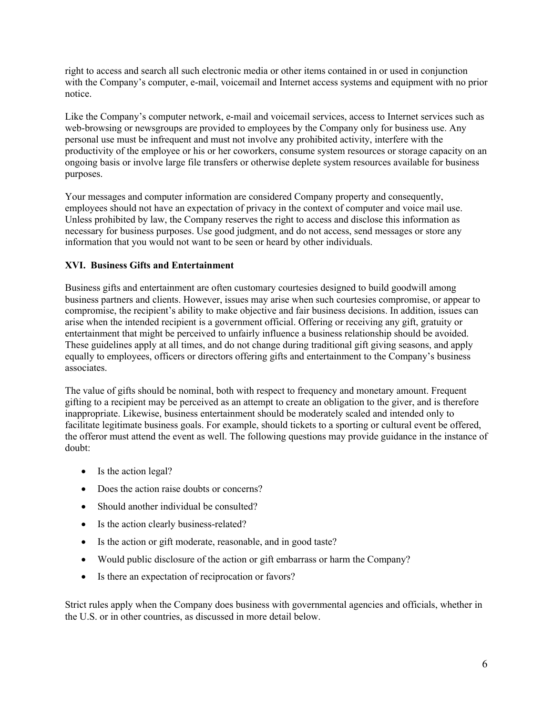right to access and search all such electronic media or other items contained in or used in conjunction with the Company's computer, e-mail, voicemail and Internet access systems and equipment with no prior notice.

Like the Company's computer network, e-mail and voicemail services, access to Internet services such as web-browsing or newsgroups are provided to employees by the Company only for business use. Any personal use must be infrequent and must not involve any prohibited activity, interfere with the productivity of the employee or his or her coworkers, consume system resources or storage capacity on an ongoing basis or involve large file transfers or otherwise deplete system resources available for business purposes.

Your messages and computer information are considered Company property and consequently, employees should not have an expectation of privacy in the context of computer and voice mail use. Unless prohibited by law, the Company reserves the right to access and disclose this information as necessary for business purposes. Use good judgment, and do not access, send messages or store any information that you would not want to be seen or heard by other individuals.

### **XVI. Business Gifts and Entertainment**

Business gifts and entertainment are often customary courtesies designed to build goodwill among business partners and clients. However, issues may arise when such courtesies compromise, or appear to compromise, the recipient's ability to make objective and fair business decisions. In addition, issues can arise when the intended recipient is a government official. Offering or receiving any gift, gratuity or entertainment that might be perceived to unfairly influence a business relationship should be avoided. These guidelines apply at all times, and do not change during traditional gift giving seasons, and apply equally to employees, officers or directors offering gifts and entertainment to the Company's business associates.

The value of gifts should be nominal, both with respect to frequency and monetary amount. Frequent gifting to a recipient may be perceived as an attempt to create an obligation to the giver, and is therefore inappropriate. Likewise, business entertainment should be moderately scaled and intended only to facilitate legitimate business goals. For example, should tickets to a sporting or cultural event be offered, the offeror must attend the event as well. The following questions may provide guidance in the instance of doubt:

- Is the action legal?
- Does the action raise doubts or concerns?
- Should another individual be consulted?
- Is the action clearly business-related?
- Is the action or gift moderate, reasonable, and in good taste?
- Would public disclosure of the action or gift embarrass or harm the Company?
- Is there an expectation of reciprocation or favors?

Strict rules apply when the Company does business with governmental agencies and officials, whether in the U.S. or in other countries, as discussed in more detail below.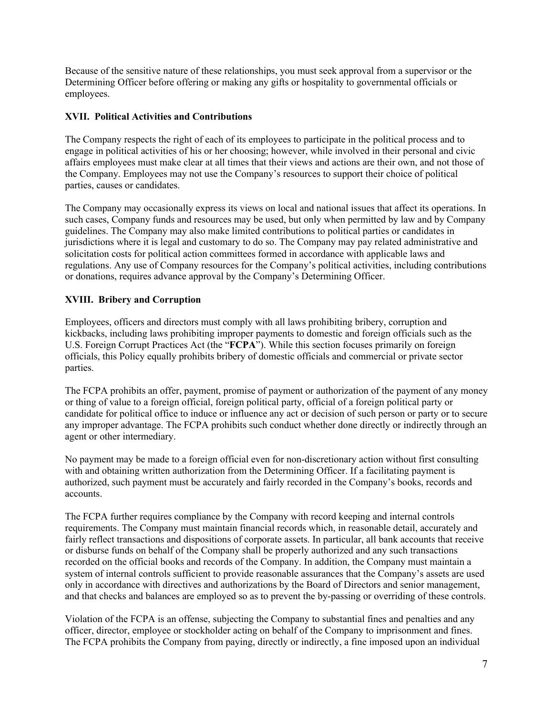Because of the sensitive nature of these relationships, you must seek approval from a supervisor or the Determining Officer before offering or making any gifts or hospitality to governmental officials or employees.

## **XVII. Political Activities and Contributions**

The Company respects the right of each of its employees to participate in the political process and to engage in political activities of his or her choosing; however, while involved in their personal and civic affairs employees must make clear at all times that their views and actions are their own, and not those of the Company. Employees may not use the Company's resources to support their choice of political parties, causes or candidates.

The Company may occasionally express its views on local and national issues that affect its operations. In such cases, Company funds and resources may be used, but only when permitted by law and by Company guidelines. The Company may also make limited contributions to political parties or candidates in jurisdictions where it is legal and customary to do so. The Company may pay related administrative and solicitation costs for political action committees formed in accordance with applicable laws and regulations. Any use of Company resources for the Company's political activities, including contributions or donations, requires advance approval by the Company's Determining Officer.

# **XVIII. Bribery and Corruption**

Employees, officers and directors must comply with all laws prohibiting bribery, corruption and kickbacks, including laws prohibiting improper payments to domestic and foreign officials such as the U.S. Foreign Corrupt Practices Act (the "**FCPA**"). While this section focuses primarily on foreign officials, this Policy equally prohibits bribery of domestic officials and commercial or private sector parties.

The FCPA prohibits an offer, payment, promise of payment or authorization of the payment of any money or thing of value to a foreign official, foreign political party, official of a foreign political party or candidate for political office to induce or influence any act or decision of such person or party or to secure any improper advantage. The FCPA prohibits such conduct whether done directly or indirectly through an agent or other intermediary.

No payment may be made to a foreign official even for non-discretionary action without first consulting with and obtaining written authorization from the Determining Officer. If a facilitating payment is authorized, such payment must be accurately and fairly recorded in the Company's books, records and accounts.

The FCPA further requires compliance by the Company with record keeping and internal controls requirements. The Company must maintain financial records which, in reasonable detail, accurately and fairly reflect transactions and dispositions of corporate assets. In particular, all bank accounts that receive or disburse funds on behalf of the Company shall be properly authorized and any such transactions recorded on the official books and records of the Company. In addition, the Company must maintain a system of internal controls sufficient to provide reasonable assurances that the Company's assets are used only in accordance with directives and authorizations by the Board of Directors and senior management, and that checks and balances are employed so as to prevent the by-passing or overriding of these controls.

Violation of the FCPA is an offense, subjecting the Company to substantial fines and penalties and any officer, director, employee or stockholder acting on behalf of the Company to imprisonment and fines. The FCPA prohibits the Company from paying, directly or indirectly, a fine imposed upon an individual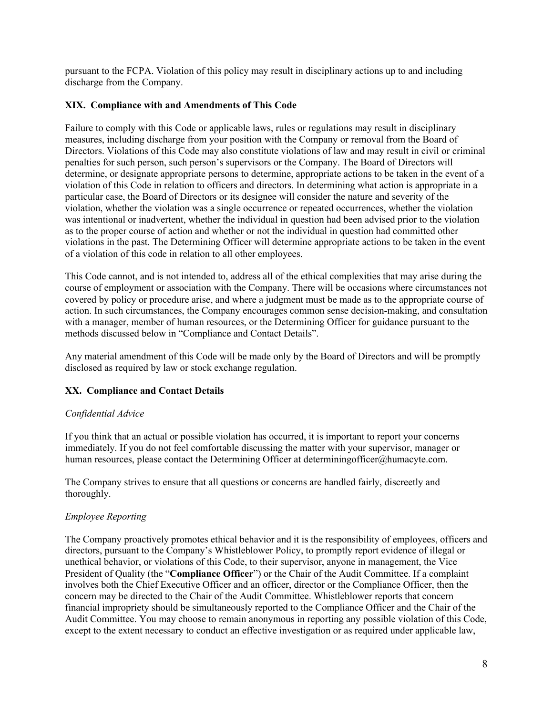pursuant to the FCPA. Violation of this policy may result in disciplinary actions up to and including discharge from the Company.

### **XIX. Compliance with and Amendments of This Code**

Failure to comply with this Code or applicable laws, rules or regulations may result in disciplinary measures, including discharge from your position with the Company or removal from the Board of Directors. Violations of this Code may also constitute violations of law and may result in civil or criminal penalties for such person, such person's supervisors or the Company. The Board of Directors will determine, or designate appropriate persons to determine, appropriate actions to be taken in the event of a violation of this Code in relation to officers and directors. In determining what action is appropriate in a particular case, the Board of Directors or its designee will consider the nature and severity of the violation, whether the violation was a single occurrence or repeated occurrences, whether the violation was intentional or inadvertent, whether the individual in question had been advised prior to the violation as to the proper course of action and whether or not the individual in question had committed other violations in the past. The Determining Officer will determine appropriate actions to be taken in the event of a violation of this code in relation to all other employees.

This Code cannot, and is not intended to, address all of the ethical complexities that may arise during the course of employment or association with the Company. There will be occasions where circumstances not covered by policy or procedure arise, and where a judgment must be made as to the appropriate course of action. In such circumstances, the Company encourages common sense decision-making, and consultation with a manager, member of human resources, or the Determining Officer for guidance pursuant to the methods discussed below in "Compliance and Contact Details".

Any material amendment of this Code will be made only by the Board of Directors and will be promptly disclosed as required by law or stock exchange regulation.

## **XX. Compliance and Contact Details**

#### *Confidential Advice*

If you think that an actual or possible violation has occurred, it is important to report your concerns immediately. If you do not feel comfortable discussing the matter with your supervisor, manager or human resources, please contact the Determining Officer at determiningofficer@humacyte.com.

The Company strives to ensure that all questions or concerns are handled fairly, discreetly and thoroughly.

#### *Employee Reporting*

The Company proactively promotes ethical behavior and it is the responsibility of employees, officers and directors, pursuant to the Company's Whistleblower Policy, to promptly report evidence of illegal or unethical behavior, or violations of this Code, to their supervisor, anyone in management, the Vice President of Quality (the "**Compliance Officer**") or the Chair of the Audit Committee. If a complaint involves both the Chief Executive Officer and an officer, director or the Compliance Officer, then the concern may be directed to the Chair of the Audit Committee. Whistleblower reports that concern financial impropriety should be simultaneously reported to the Compliance Officer and the Chair of the Audit Committee. You may choose to remain anonymous in reporting any possible violation of this Code, except to the extent necessary to conduct an effective investigation or as required under applicable law,